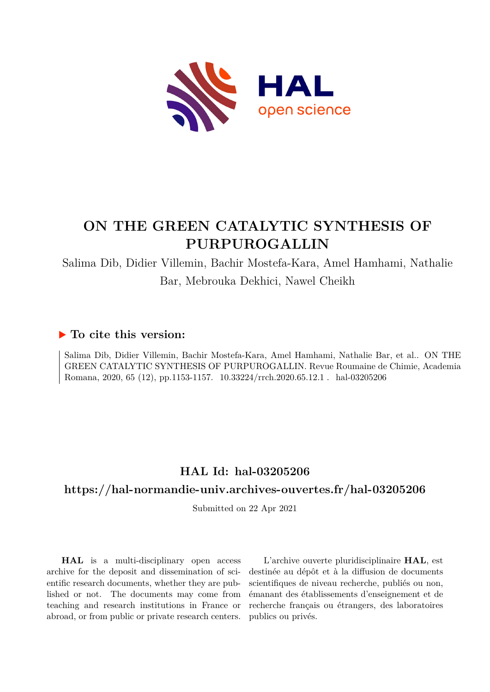

# **ON THE GREEN CATALYTIC SYNTHESIS OF PURPUROGALLIN**

Salima Dib, Didier Villemin, Bachir Mostefa-Kara, Amel Hamhami, Nathalie Bar, Mebrouka Dekhici, Nawel Cheikh

# **To cite this version:**

Salima Dib, Didier Villemin, Bachir Mostefa-Kara, Amel Hamhami, Nathalie Bar, et al.. ON THE GREEN CATALYTIC SYNTHESIS OF PURPUROGALLIN. Revue Roumaine de Chimie, Academia Romana, 2020, 65 (12), pp.1153-1157. 10.33224/rrch.2020.65.12.1 . hal-03205206

# **HAL Id: hal-03205206**

# **<https://hal-normandie-univ.archives-ouvertes.fr/hal-03205206>**

Submitted on 22 Apr 2021

**HAL** is a multi-disciplinary open access archive for the deposit and dissemination of scientific research documents, whether they are published or not. The documents may come from teaching and research institutions in France or abroad, or from public or private research centers.

L'archive ouverte pluridisciplinaire **HAL**, est destinée au dépôt et à la diffusion de documents scientifiques de niveau recherche, publiés ou non, émanant des établissements d'enseignement et de recherche français ou étrangers, des laboratoires publics ou privés.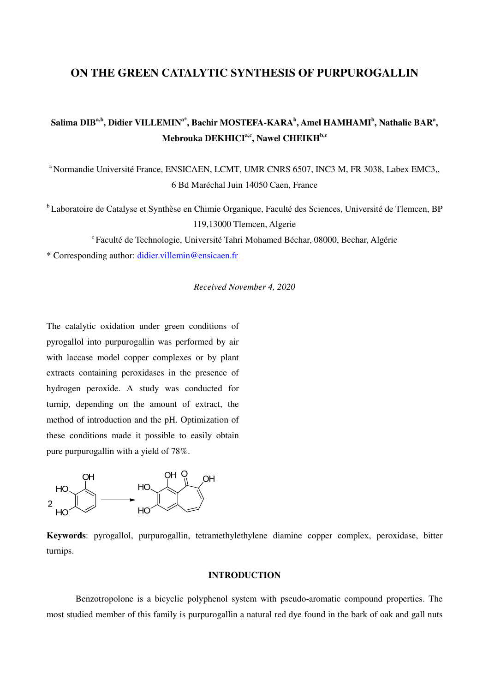# **ON THE GREEN CATALYTIC SYNTHESIS OF PURPUROGALLIN**

# **Salima DIBa,b, Didier VILLEMINa\*, Bachir MOSTEFA-KARA<sup>b</sup> , Amel HAMHAMI<sup>b</sup> , Nathalie BAR<sup>a</sup> , Mebrouka DEKHICIa,c, Nawel CHEIKHb,c**

<sup>a</sup> Normandie Université France, ENSICAEN, LCMT, UMR CNRS 6507, INC3 M, FR 3038, Labex EMC3,, 6 Bd Maréchal Juin 14050 Caen, France

<sup>b</sup>Laboratoire de Catalyse et Synthèse en Chimie Organique, Faculté des Sciences, Université de Tlemcen, BP 119,13000 Tlemcen, Algerie

 $c$ Faculté de Technologie, Université Tahri Mohamed Béchar, 08000, Bechar, Algérie

\* Corresponding author: didier.villemin@ensicaen.fr

*Received November 4, 2020* 

The catalytic oxidation under green conditions of pyrogallol into purpurogallin was performed by air with laccase model copper complexes or by plant extracts containing peroxidases in the presence of hydrogen peroxide. A study was conducted for turnip, depending on the amount of extract, the method of introduction and the pH. Optimization of these conditions made it possible to easily obtain pure purpurogallin with a yield of 78%.



**Keywords**: pyrogallol, purpurogallin, tetramethylethylene diamine copper complex, peroxidase, bitter turnips.

# **INTRODUCTION**

Benzotropolone is a bicyclic polyphenol system with pseudo-aromatic compound properties. The most studied member of this family is purpurogallin a natural red dye found in the bark of oak and gall nuts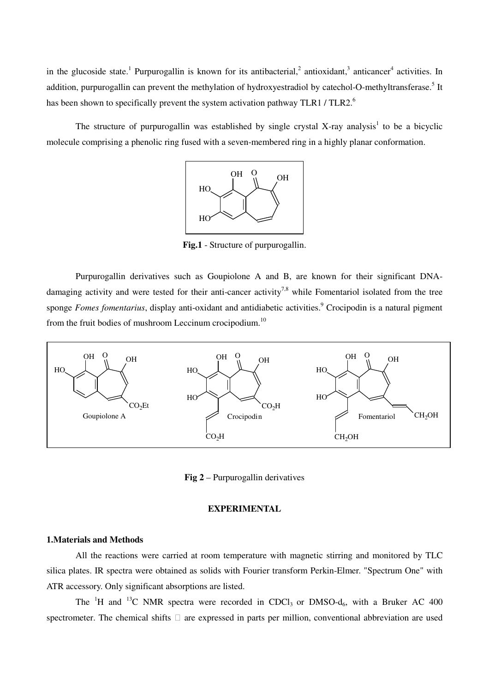in the glucoside state.<sup>1</sup> Purpurogallin is known for its antibacterial,<sup>2</sup> antioxidant,<sup>3</sup> anticancer<sup>4</sup> activities. In addition, purpurogallin can prevent the methylation of hydroxyestradiol by catechol-O-methyltransferase.<sup>5</sup> It has been shown to specifically prevent the system activation pathway TLR1 / TLR2.<sup>6</sup>

The structure of purpurogallin was established by single crystal X-ray analysis<sup>1</sup> to be a bicyclic molecule comprising a phenolic ring fused with a seven-membered ring in a highly planar conformation.



**Fig.1** - Structure of purpurogallin.

Purpurogallin derivatives such as Goupiolone A and B, are known for their significant DNAdamaging activity and were tested for their anti-cancer activity<sup>7,8</sup> while Fomentariol isolated from the tree sponge *Fomes fomentarius*, display anti-oxidant and antidiabetic activities.<sup>9</sup> Crocipodin is a natural pigment from the fruit bodies of mushroom Leccinum crocipodium.<sup>10</sup>



**Fig 2** – Purpurogallin derivatives

# **EXPERIMENTAL**

### **1.Materials and Methods**

All the reactions were carried at room temperature with magnetic stirring and monitored by TLC silica plates. IR spectra were obtained as solids with Fourier transform Perkin-Elmer. "Spectrum One" with ATR accessory. Only significant absorptions are listed.

The <sup>1</sup>H and <sup>13</sup>C NMR spectra were recorded in CDCl<sub>3</sub> or DMSO-d<sub>6</sub>, with a Bruker AC 400 spectrometer. The chemical shifts  $\Box$  are expressed in parts per million, conventional abbreviation are used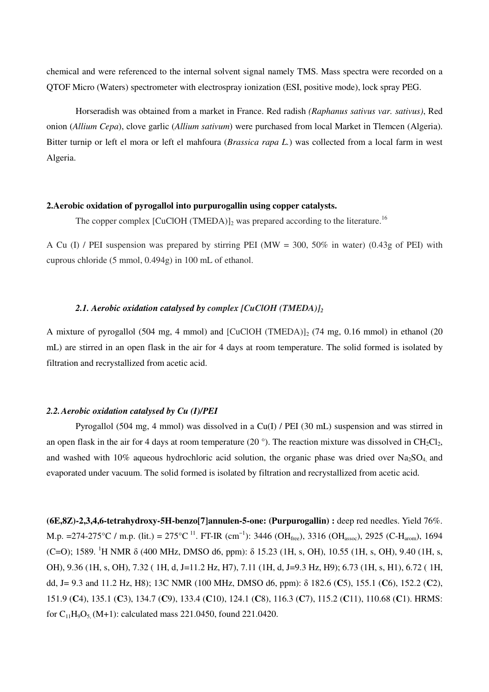chemical and were referenced to the internal solvent signal namely TMS. Mass spectra were recorded on a QTOF Micro (Waters) spectrometer with electrospray ionization (ESI, positive mode), lock spray PEG.

Horseradish was obtained from a market in France. Red radish *(Raphanus sativus var. sativus)*, Red onion (*Allium Cepa*), clove garlic (*Allium sativum*) were purchased from local Market in Tlemcen (Algeria). Bitter turnip or left el mora or left el mahfoura (*Brassica rapa L.*) was collected from a local farm in west Algeria.

# **2.Aerobic oxidation of pyrogallol into purpurogallin using copper catalysts.**

The copper complex  $[CuClOH (TMEDA)]_2$  was prepared according to the literature.<sup>16</sup>

A Cu (I) / PEI suspension was prepared by stirring PEI (MW = 300, 50% in water) (0.43g of PEI) with cuprous chloride (5 mmol, 0.494g) in 100 mL of ethanol.

### *2.1. Aerobic oxidation catalysed by complex [CuClOH (TMEDA)]<sup>2</sup>*

A mixture of pyrogallol (504 mg, 4 mmol) and  $[CuClOH (TMEDA)]_2$  (74 mg, 0.16 mmol) in ethanol (20 mL) are stirred in an open flask in the air for 4 days at room temperature. The solid formed is isolated by filtration and recrystallized from acetic acid.

# *2.2.Aerobic oxidation catalysed by Cu (I)/PEI*

Pyrogallol (504 mg, 4 mmol) was dissolved in a Cu(I) / PEI (30 mL) suspension and was stirred in an open flask in the air for 4 days at room temperature (20 $^{\circ}$ ). The reaction mixture was dissolved in CH<sub>2</sub>Cl<sub>2</sub>, and washed with 10% aqueous hydrochloric acid solution, the organic phase was dried over  $Na<sub>2</sub>SO<sub>4</sub>$  and evaporated under vacuum. The solid formed is isolated by filtration and recrystallized from acetic acid.

**(6E,8Z)-2,3,4,6-tetrahydroxy-5H-benzo[7]annulen-5-one: (Purpurogallin) :** deep red needles. Yield 76%. M.p. =274-275°C / m.p. (lit.) = 275°C <sup>11</sup>. FT-IR (cm<sup>-1</sup>): 3446 (OH<sub>free</sub>), 3316 (OH<sub>assoc</sub>), 2925 (C-H<sub>arom</sub>), 1694 (C=O); 1589. <sup>1</sup>H NMR δ (400 MHz, DMSO d6, ppm): δ 15.23 (1H, s, OH), 10.55 (1H, s, OH), 9.40 (1H, s, OH), 9.36 (1H, s, OH), 7.32 ( 1H, d, J=11.2 Hz, H7), 7.11 (1H, d, J=9.3 Hz, H9); 6.73 (1H, s, H1), 6.72 ( 1H, dd, J= 9.3 and 11.2 Hz, H8); 13C NMR (100 MHz, DMSO d6, ppm): δ 182.6 (**C**5), 155.1 (**C**6), 152.2 (**C**2), 151.9 (**C**4), 135.1 (**C**3), 134.7 (**C**9), 133.4 (**C**10), 124.1 (**C**8), 116.3 (**C**7), 115.2 (**C**11), 110.68 (**C**1). HRMS: for  $C_{11}H_9O_5$  (M+1): calculated mass 221.0450, found 221.0420.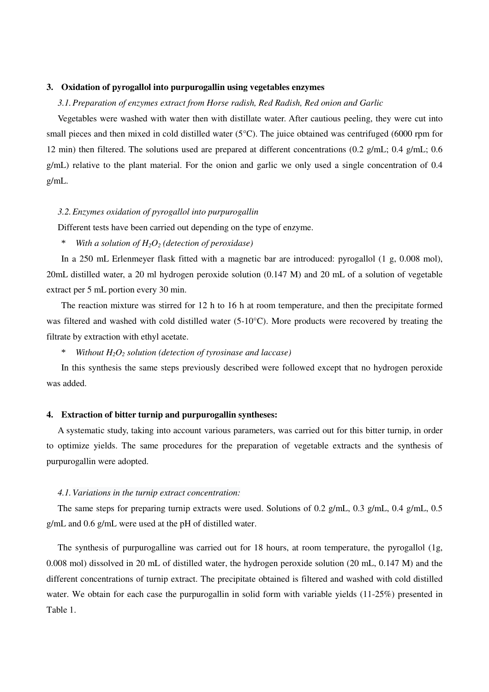#### **3. Oxidation of pyrogallol into purpurogallin using vegetables enzymes**

### *3.1.Preparation of enzymes extract from Horse radish, Red Radish, Red onion and Garlic*

Vegetables were washed with water then with distillate water. After cautious peeling, they were cut into small pieces and then mixed in cold distilled water ( $5^{\circ}$ C). The juice obtained was centrifuged (6000 rpm for 12 min) then filtered. The solutions used are prepared at different concentrations (0.2 g/mL; 0.4 g/mL; 0.6 g/mL) relative to the plant material. For the onion and garlic we only used a single concentration of 0.4 g/mL.

### *3.2.Enzymes oxidation of pyrogallol into purpurogallin*

Different tests have been carried out depending on the type of enzyme.

With a solution of  $H_2O_2$  (detection of peroxidase)

In a 250 mL Erlenmeyer flask fitted with a magnetic bar are introduced: pyrogallol (1 g, 0.008 mol), 20mL distilled water, a 20 ml hydrogen peroxide solution (0.147 M) and 20 mL of a solution of vegetable extract per 5 mL portion every 30 min.

The reaction mixture was stirred for 12 h to 16 h at room temperature, and then the precipitate formed was filtered and washed with cold distilled water (5-10°C). More products were recovered by treating the filtrate by extraction with ethyl acetate.

*Without*  $H_2O_2$  *solution (detection of tyrosinase and laccase)* 

In this synthesis the same steps previously described were followed except that no hydrogen peroxide was added.

#### **4. Extraction of bitter turnip and purpurogallin syntheses:**

A systematic study, taking into account various parameters, was carried out for this bitter turnip, in order to optimize yields. The same procedures for the preparation of vegetable extracts and the synthesis of purpurogallin were adopted.

#### *4.1.Variations in the turnip extract concentration:*

The same steps for preparing turnip extracts were used. Solutions of 0.2 g/mL, 0.3 g/mL, 0.4 g/mL, 0.5 g/mL and 0.6 g/mL were used at the pH of distilled water.

The synthesis of purpurogalline was carried out for 18 hours, at room temperature, the pyrogallol (1g, 0.008 mol) dissolved in 20 mL of distilled water, the hydrogen peroxide solution (20 mL, 0.147 M) and the different concentrations of turnip extract. The precipitate obtained is filtered and washed with cold distilled water. We obtain for each case the purpurogallin in solid form with variable yields (11-25%) presented in Table 1.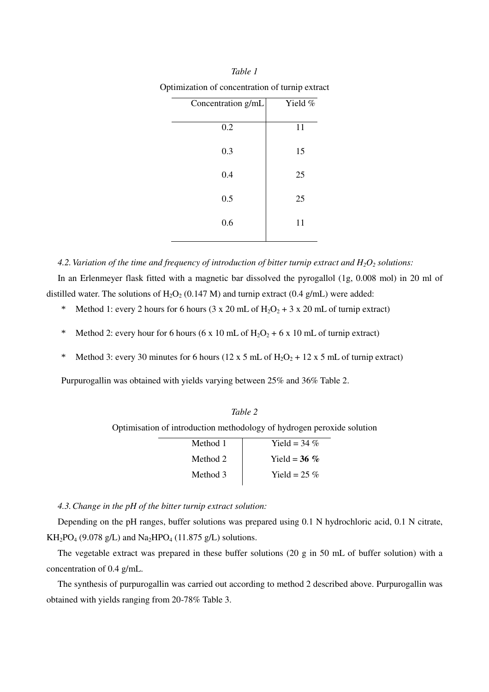| Concentration g/mL | Yield % |  |
|--------------------|---------|--|
|                    |         |  |
| 0.2                | 11      |  |
| 0.3                | 15      |  |
|                    |         |  |
| 0.4                | 25      |  |
|                    |         |  |
| 0.5                | 25      |  |
| 0.6                | 11      |  |

*Table 1*

*4.2.Variation of the time and frequency of introduction of bitter turnip extract and H2O2 solutions:*  In an Erlenmeyer flask fitted with a magnetic bar dissolved the pyrogallol (1g, 0.008 mol) in 20 ml of distilled water. The solutions of  $H_2O_2$  (0.147 M) and turnip extract (0.4 g/mL) were added:

- Method 1: every 2 hours for 6 hours (3 x 20 mL of  $H_2O_2 + 3$  x 20 mL of turnip extract)
- \* Method 2: every hour for 6 hours (6 x 10 mL of  $H_2O_2 + 6$  x 10 mL of turnip extract)
- \* Method 3: every 30 minutes for 6 hours (12 x 5 mL of H<sub>2</sub>O<sub>2</sub> + 12 x 5 mL of turnip extract)

Purpurogallin was obtained with yields varying between 25% and 36% Table 2.

| Optimisation of introduction methodology of hydrogen peroxide solution |                 |  |  |  |  |
|------------------------------------------------------------------------|-----------------|--|--|--|--|
| Method 1                                                               | Yield = 34 $\%$ |  |  |  |  |
| Method 2                                                               | Yield = $36\%$  |  |  |  |  |

Method 3 Yield =  $25\%$ 

*Table 2*

*4.3.Change in the pH of the bitter turnip extract solution:* 

Depending on the pH ranges, buffer solutions was prepared using 0.1 N hydrochloric acid, 0.1 N citrate,  $KH_{2}PO_{4}$  (9.078 g/L) and Na<sub>2</sub>HPO<sub>4</sub> (11.875 g/L) solutions.

The vegetable extract was prepared in these buffer solutions (20 g in 50 mL of buffer solution) with a concentration of 0.4 g/mL.

The synthesis of purpurogallin was carried out according to method 2 described above. Purpurogallin was obtained with yields ranging from 20-78% Table 3.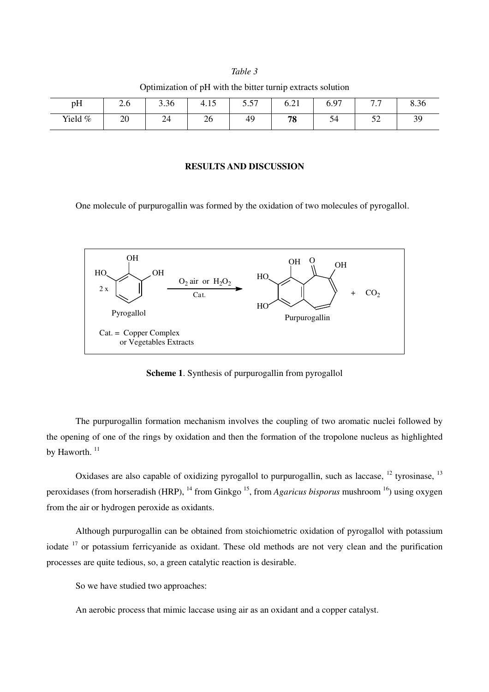# *Table 3* Optimization of pH with the bitter turnip extracts solution

| pH      | ⌒<br>$\sim$ $\sim$ | 200<br>3.30  | 15<br>4.IJ | $\epsilon$ $\epsilon$<br>$\cup$ . $\cup$ 1 | $\sim$ 1<br>0.21 | ና 07<br>0.Y                       | $\overline{a}$<br>. | 8.36      |
|---------|--------------------|--------------|------------|--------------------------------------------|------------------|-----------------------------------|---------------------|-----------|
| Yield % | 20                 | $\sim$<br>44 | 26         | 49                                         | 78               | $\tilde{\phantom{a}}$<br>54<br>ັ່ | $\epsilon$<br>ے ب   | 39<br>ر ب |

#### **RESULTS AND DISCUSSION**

One molecule of purpurogallin was formed by the oxidation of two molecules of pyrogallol.



**Scheme 1**. Synthesis of purpurogallin from pyrogallol

The purpurogallin formation mechanism involves the coupling of two aromatic nuclei followed by the opening of one of the rings by oxidation and then the formation of the tropolone nucleus as highlighted by Haworth.<sup>11</sup>

Oxidases are also capable of oxidizing pyrogallol to purpurogallin, such as laccase, <sup>12</sup> tyrosinase, <sup>13</sup> peroxidases (from horseradish (HRP), <sup>14</sup> from Ginkgo <sup>15</sup>, from *Agaricus bisporus* mushroom <sup>16</sup>) using oxygen from the air or hydrogen peroxide as oxidants.

Although purpurogallin can be obtained from stoichiometric oxidation of pyrogallol with potassium iodate <sup>17</sup> or potassium ferricyanide as oxidant. These old methods are not very clean and the purification processes are quite tedious, so, a green catalytic reaction is desirable.

So we have studied two approaches:

An aerobic process that mimic laccase using air as an oxidant and a copper catalyst.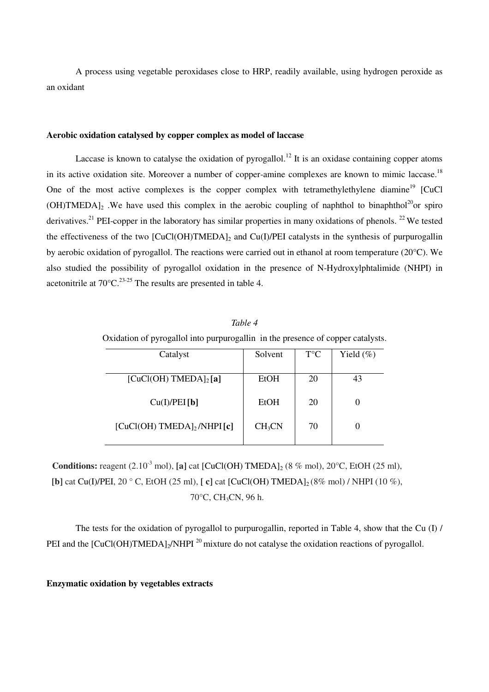A process using vegetable peroxidases close to HRP, readily available, using hydrogen peroxide as an oxidant

### **Aerobic oxidation catalysed by copper complex as model of laccase**

Laccase is known to catalyse the oxidation of pyrogallol.<sup>12</sup> It is an oxidase containing copper atoms in its active oxidation site. Moreover a number of copper-amine complexes are known to mimic laccase.<sup>18</sup> One of the most active complexes is the copper complex with tetramethylethylene diamine<sup>19</sup> [CuCl  $(OH)$ TMEDA]<sub>2</sub>. We have used this complex in the aerobic coupling of naphthol to binaphthol<sup>20</sup>or spiro derivatives.<sup>21</sup> PEI-copper in the laboratory has similar properties in many oxidations of phenols.<sup>22</sup>We tested the effectiveness of the two  $\text{[CuCl(OH)TMEDA]}_2$  and Cu(I)/PEI catalysts in the synthesis of purpurogallin by aerobic oxidation of pyrogallol. The reactions were carried out in ethanol at room temperature (20°C). We also studied the possibility of pyrogallol oxidation in the presence of N-Hydroxylphtalimide (NHPI) in acetonitrile at  $70^{\circ}$ C.<sup>23-25</sup> The results are presented in table 4.

| Table 4                                                                         |                         |    |              |  |  |  |
|---------------------------------------------------------------------------------|-------------------------|----|--------------|--|--|--|
| Oxidation of pyrogallol into purpurogallin in the presence of copper catalysts. |                         |    |              |  |  |  |
| Catalyst                                                                        | $T^{\circ}C$<br>Solvent |    | Yield $(\%)$ |  |  |  |
|                                                                                 |                         |    |              |  |  |  |
| $[CuCl(OH)$ TMEDA $]_2$ [a]                                                     | <b>EtOH</b>             | 20 | 43           |  |  |  |
|                                                                                 |                         |    |              |  |  |  |
| Cu(I)/PEI[b]                                                                    | EtOH                    | 20 | 0            |  |  |  |
| $[CuCl(OH)$ TMEDA $]_2$ /NHPI $[c]$                                             | $CH_3CN$                | 70 |              |  |  |  |
|                                                                                 |                         |    |              |  |  |  |

**Conditions:** reagent  $(2.10^{-3} \text{ mol})$ ,  $\text{[a]}$  cat  $\text{[CuCl(OH) TMEDA]}_2$  (8 % mol), 20 °C, EtOH (25 ml), **[b]** cat Cu(I)/PEI, 20 ° C, EtOH (25 ml), **[c]** cat **[CuCl(OH) TMEDA**]<sub>2</sub> (8% mol) / NHPI (10 %), 70°C, CH3CN, 96 h.

The tests for the oxidation of pyrogallol to purpurogallin, reported in Table 4, show that the Cu (I) / PEI and the [CuCl(OH)TMEDA]<sub>2</sub>/NHPI<sup>20</sup> mixture do not catalyse the oxidation reactions of pyrogallol.

#### **Enzymatic oxidation by vegetables extracts**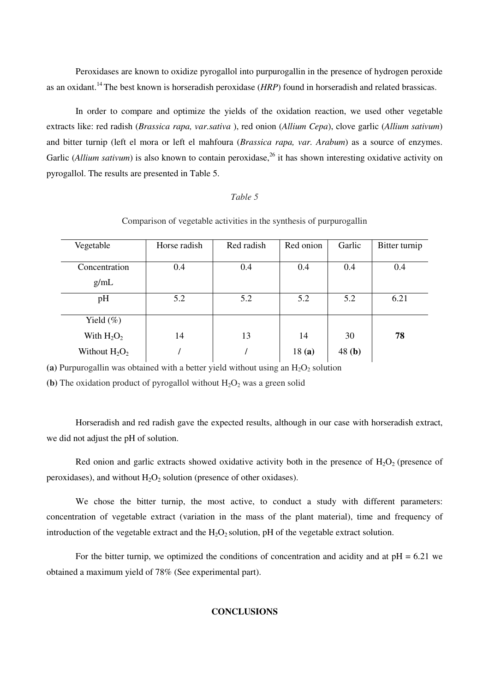Peroxidases are known to oxidize pyrogallol into purpurogallin in the presence of hydrogen peroxide as an oxidant.<sup>14</sup>The best known is horseradish peroxidase (*HRP*) found in horseradish and related brassicas.

In order to compare and optimize the yields of the oxidation reaction, we used other vegetable extracts like: red radish (*Brassica rapa, var.sativa* ), red onion (*Allium Cepa*), clove garlic (*Allium sativum*) and bitter turnip (left el mora or left el mahfoura (*Brassica rapa, var. Arabum*) as a source of enzymes. Garlic (*Allium sativum*) is also known to contain peroxidase,<sup>26</sup> it has shown interesting oxidative activity on pyrogallol. The results are presented in Table 5.

#### *Table 5*

Vegetable | Horse radish | Red radish | Red onion | Garlic | Bitter turnip **Concentration** g/mL 0.4 0.4 0.4 0.4 0.4 pH 1 5.2 5.2 5.2 5.2 5.2 6.21 Yield  $(\% )$ With  $H_2O_2$ Without  $H_2O_2$ 14 / 13 / 14 18 **(a)** 30 48 **(b) 78**

Comparison of vegetable activities in the synthesis of purpurogallin

(a) Purpurogallin was obtained with a better yield without using an  $H_2O_2$  solution

**(b)** The oxidation product of pyrogallol without  $H_2O_2$  was a green solid

Horseradish and red radish gave the expected results, although in our case with horseradish extract, we did not adjust the pH of solution.

Red onion and garlic extracts showed oxidative activity both in the presence of  $H_2O_2$  (presence of peroxidases), and without  $H_2O_2$  solution (presence of other oxidases).

We chose the bitter turnip, the most active, to conduct a study with different parameters: concentration of vegetable extract (variation in the mass of the plant material), time and frequency of introduction of the vegetable extract and the  $H_2O_2$  solution, pH of the vegetable extract solution.

For the bitter turnip, we optimized the conditions of concentration and acidity and at  $pH = 6.21$  we obtained a maximum yield of 78% (See experimental part).

#### **CONCLUSIONS**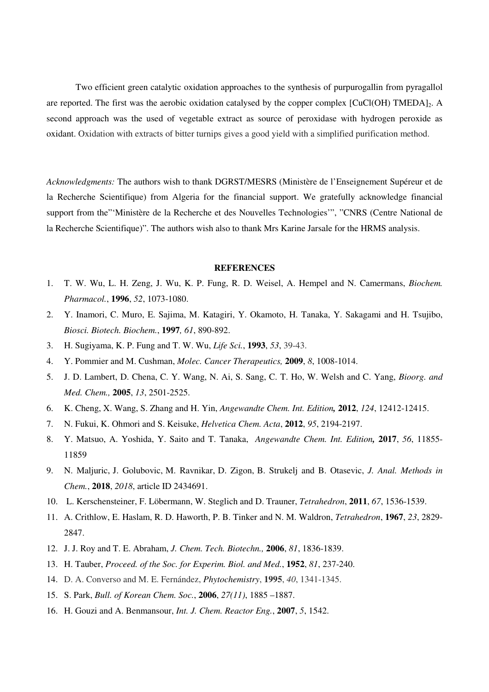Two efficient green catalytic oxidation approaches to the synthesis of purpurogallin from pyragallol are reported. The first was the aerobic oxidation catalysed by the copper complex [CuCl(OH) TMEDA]<sub>2</sub>. A second approach was the used of vegetable extract as source of peroxidase with hydrogen peroxide as oxidant. Oxidation with extracts of bitter turnips gives a good yield with a simplified purification method.

*Acknowledgments:* The authors wish to thank DGRST/MESRS (Ministère de l'Enseignement Supéreur et de la Recherche Scientifique) from Algeria for the financial support. We gratefully acknowledge financial support from the"'Ministère de la Recherche et des Nouvelles Technologies'", "CNRS (Centre National de la Recherche Scientifique)". The authors wish also to thank Mrs Karine Jarsale for the HRMS analysis.

#### **REFERENCES**

- 1. T. W. Wu, L. H. Zeng, J. Wu, K. P. Fung, R. D. Weisel, A. Hempel and N. Camermans, *Biochem. Pharmacol.*, **1996**, *52*, 1073-1080.
- 2. Y. Inamori, C. Muro, E. Sajima, M. Katagiri, Y. Okamoto, H. Tanaka, Y. Sakagami and H. Tsujibo, *Biosci. Biotech. Biochem.*, **1997***, 61*, 890-892.
- 3. H. Sugiyama, K. P. Fung and T. W. Wu, *Life Sci.*, **1993**, *53*, 39-43.
- 4. Y. Pommier and M. Cushman, *Molec. Cancer Therapeutics,* **2009**, *8*, 1008-1014.
- 5. J. D. Lambert, D. Chena, C. Y. Wang, N. Ai, S. Sang, C. T. Ho, W. Welsh and C. Yang, *Bioorg. and Med. Chem.,* **2005**, *13*, 2501-2525.
- 6. K. Cheng, X. Wang, S. Zhang and H. Yin, *Angewandte Chem. Int. Edition,* **2012**, *124*, 12412-12415.
- 7. N. Fukui, K. Ohmori and S. Keisuke, *Helvetica Chem. Acta*, **2012**, *95*, 2194-2197.
- 8. Y. Matsuo, A. Yoshida, Y. Saito and T. Tanaka, *Angewandte Chem. Int. Edition,* **2017**, *56*, 11855- 11859
- 9. N. Maljuric, J. Golubovic, M. Ravnikar, D. Zigon, B. Strukelj and B. Otasevic, *J. Anal. Methods in Chem.*, **2018**, *2018*, article ID 2434691.
- 10. L. Kerschensteiner, F. Löbermann, W. Steglich and D. Trauner, *Tetrahedron*, **2011**, *67*, 1536-1539.
- 11. A. Crithlow, E. Haslam, R. D. Haworth, P. B. Tinker and N. M. Waldron, *Tetrahedron*, **1967**, *23*, 2829- 2847.
- 12. J. J. Roy and T. E. Abraham, *J. Chem. Tech. Biotechn.,* **2006**, *81*, 1836-1839.
- 13. H. Tauber, *Proceed. of the Soc. for Experim. Biol. and Med.*, **1952**, *81*, 237-240.
- 14. D. A. Converso and M. E. Fernández, *Phytochemistry*, **1995**, *40*, 1341-1345.
- 15. S. Park, *Bull. of Korean Chem. Soc.*, **2006**, *27(11)*, 1885 –1887.
- 16. H. Gouzi and A. Benmansour, *Int. J. Chem. Reactor Eng.*, **2007**, *5*, 1542.